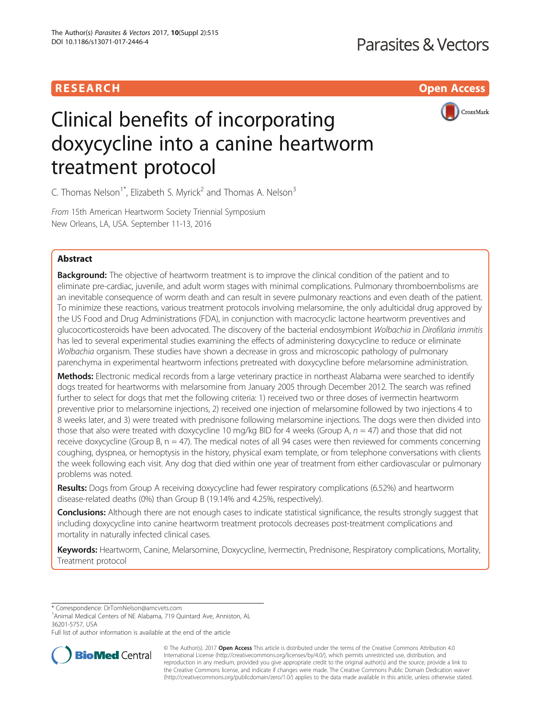# **RESEARCH CHE Open Access**



# Clinical benefits of incorporating doxycycline into a canine heartworm treatment protocol

C. Thomas Nelson<sup>1\*</sup>, Elizabeth S. Myrick<sup>2</sup> and Thomas A. Nelson<sup>3</sup>

From 15th American Heartworm Society Triennial Symposium New Orleans, LA, USA. September 11-13, 2016

# Abstract

**Background:** The objective of heartworm treatment is to improve the clinical condition of the patient and to eliminate pre-cardiac, juvenile, and adult worm stages with minimal complications. Pulmonary thromboembolisms are an inevitable consequence of worm death and can result in severe pulmonary reactions and even death of the patient. To minimize these reactions, various treatment protocols involving melarsomine, the only adulticidal drug approved by the US Food and Drug Administrations (FDA), in conjunction with macrocyclic lactone heartworm preventives and glucocorticosteroids have been advocated. The discovery of the bacterial endosymbiont Wolbachia in Dirofilaria immitis has led to several experimental studies examining the effects of administering doxycycline to reduce or eliminate Wolbachia organism. These studies have shown a decrease in gross and microscopic pathology of pulmonary parenchyma in experimental heartworm infections pretreated with doxycycline before melarsomine administration.

Methods: Electronic medical records from a large veterinary practice in northeast Alabama were searched to identify dogs treated for heartworms with melarsomine from January 2005 through December 2012. The search was refined further to select for dogs that met the following criteria: 1) received two or three doses of ivermectin heartworm preventive prior to melarsomine injections, 2) received one injection of melarsomine followed by two injections 4 to 8 weeks later, and 3) were treated with prednisone following melarsomine injections. The dogs were then divided into those that also were treated with doxycycline 10 mg/kg BID for 4 weeks (Group A,  $n = 47$ ) and those that did not receive doxycycline (Group B, n = 47). The medical notes of all 94 cases were then reviewed for comments concerning coughing, dyspnea, or hemoptysis in the history, physical exam template, or from telephone conversations with clients the week following each visit. Any dog that died within one year of treatment from either cardiovascular or pulmonary problems was noted.

Results: Dogs from Group A receiving doxycycline had fewer respiratory complications (6.52%) and heartworm disease-related deaths (0%) than Group B (19.14% and 4.25%, respectively).

**Conclusions:** Although there are not enough cases to indicate statistical significance, the results strongly suggest that including doxycycline into canine heartworm treatment protocols decreases post-treatment complications and mortality in naturally infected clinical cases.

Keywords: Heartworm, Canine, Melarsomine, Doxycycline, Ivermectin, Prednisone, Respiratory complications, Mortality, Treatment protocol

\* Correspondence: [DrTomNelson@amcvets.com](mailto:DrTomNelson@amcvets.com) <sup>1</sup>

<sup>1</sup> Animal Medical Centers of NE Alabama, 719 Quintard Ave, Anniston, AL 36201-5757, USA

Full list of author information is available at the end of the article



© The Author(s). 2017 **Open Access** This article is distributed under the terms of the Creative Commons Attribution 4.0 International License [\(http://creativecommons.org/licenses/by/4.0/](http://creativecommons.org/licenses/by/4.0/)), which permits unrestricted use, distribution, and reproduction in any medium, provided you give appropriate credit to the original author(s) and the source, provide a link to the Creative Commons license, and indicate if changes were made. The Creative Commons Public Domain Dedication waiver [\(http://creativecommons.org/publicdomain/zero/1.0/](http://creativecommons.org/publicdomain/zero/1.0/)) applies to the data made available in this article, unless otherwise stated.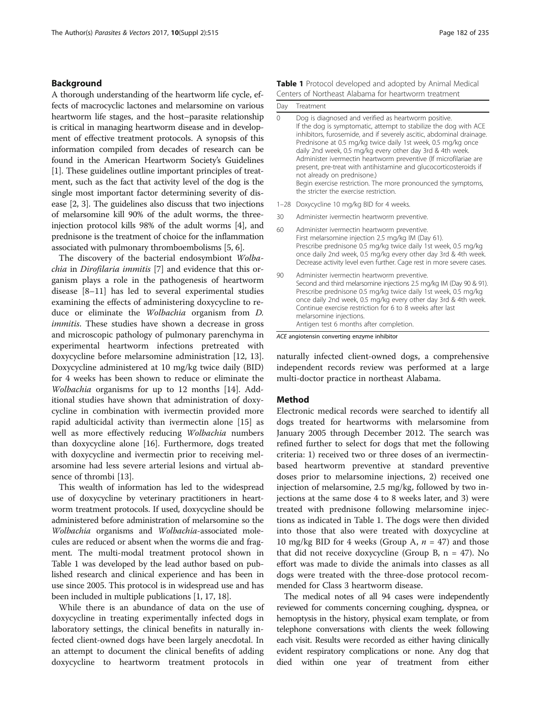# <span id="page-1-0"></span>Background

A thorough understanding of the heartworm life cycle, effects of macrocyclic lactones and melarsomine on various heartworm life stages, and the host–parasite relationship is critical in managing heartworm disease and in development of effective treatment protocols. A synopsis of this information compiled from decades of research can be found in the American Heartworm Society's Guidelines [[1\]](#page-2-0). These guidelines outline important principles of treatment, such as the fact that activity level of the dog is the single most important factor determining severity of disease [[2](#page-2-0), [3\]](#page-2-0). The guidelines also discuss that two injections of melarsomine kill 90% of the adult worms, the threeinjection protocol kills 98% of the adult worms [[4](#page-3-0)], and prednisone is the treatment of choice for the inflammation associated with pulmonary thromboembolisms [[5](#page-3-0), [6](#page-3-0)].

The discovery of the bacterial endosymbiont Wolbachia in Dirofilaria immitis [\[7](#page-3-0)] and evidence that this organism plays a role in the pathogenesis of heartworm disease [\[8](#page-3-0)–[11](#page-3-0)] has led to several experimental studies examining the effects of administering doxycycline to reduce or eliminate the Wolbachia organism from D. immitis. These studies have shown a decrease in gross and microscopic pathology of pulmonary parenchyma in experimental heartworm infections pretreated with doxycycline before melarsomine administration [[12, 13](#page-3-0)]. Doxycycline administered at 10 mg/kg twice daily (BID) for 4 weeks has been shown to reduce or eliminate the Wolbachia organisms for up to 12 months [[14\]](#page-3-0). Additional studies have shown that administration of doxycycline in combination with ivermectin provided more rapid adulticidal activity than ivermectin alone [[15](#page-3-0)] as well as more effectively reducing Wolbachia numbers than doxycycline alone [[16\]](#page-3-0). Furthermore, dogs treated with doxycycline and ivermectin prior to receiving melarsomine had less severe arterial lesions and virtual absence of thrombi [\[13](#page-3-0)].

This wealth of information has led to the widespread use of doxycycline by veterinary practitioners in heartworm treatment protocols. If used, doxycycline should be administered before administration of melarsomine so the Wolbachia organisms and Wolbachia-associated molecules are reduced or absent when the worms die and fragment. The multi-modal treatment protocol shown in Table 1 was developed by the lead author based on published research and clinical experience and has been in use since 2005. This protocol is in widespread use and has been included in multiple publications [[1,](#page-2-0) [17](#page-3-0), [18](#page-3-0)].

While there is an abundance of data on the use of doxycycline in treating experimentally infected dogs in laboratory settings, the clinical benefits in naturally infected client-owned dogs have been largely anecdotal. In an attempt to document the clinical benefits of adding doxycycline to heartworm treatment protocols in

| Day      | Treatment                                                                                                                                                                                                                                                                                                                                                                                                                                                                                                                                                                                                        |  |
|----------|------------------------------------------------------------------------------------------------------------------------------------------------------------------------------------------------------------------------------------------------------------------------------------------------------------------------------------------------------------------------------------------------------------------------------------------------------------------------------------------------------------------------------------------------------------------------------------------------------------------|--|
| $\Omega$ | Dog is diagnosed and verified as heartworm positive.<br>If the dog is symptomatic, attempt to stabilize the dog with ACE<br>inhibitors, furosemide, and if severely ascitic, abdominal drainage.<br>Prednisone at 0.5 mg/kg twice daily 1st week, 0.5 mg/kg once<br>daily 2nd week, 0.5 mg/kg every other day 3rd & 4th week.<br>Administer ivermectin heartworm preventive (If microfilariae are<br>present, pre-treat with antihistamine and glucocorticosteroids if<br>not already on prednisone.)<br>Begin exercise restriction. The more pronounced the symptoms,<br>the stricter the exercise restriction. |  |
| $1 - 28$ | Doxycycline 10 mg/kg BID for 4 weeks.                                                                                                                                                                                                                                                                                                                                                                                                                                                                                                                                                                            |  |
| 30       | Administer ivermectin heartworm preventive.                                                                                                                                                                                                                                                                                                                                                                                                                                                                                                                                                                      |  |
| 60       | Administer ivermectin heartworm preventive.<br>First melarsomine injection 2.5 mg/kg IM (Day 61).<br>Prescribe prednisone 0.5 mg/kg twice daily 1st week, 0.5 mg/kg<br>once daily 2nd week, 0.5 mg/kg every other day 3rd & 4th week.<br>Decrease activity level even further. Cage rest in more severe cases.                                                                                                                                                                                                                                                                                                   |  |
| 90       | Administer ivermectin heartworm preventive.<br>Second and third melarsomine injections 2.5 mg/kg IM (Day 90 & 91).<br>Prescribe prednisone 0.5 mg/kg twice daily 1st week, 0.5 mg/kg<br>once daily 2nd week, 0.5 mg/kg every other day 3rd & 4th week.<br>Continue exercise restriction for 6 to 8 weeks after last<br>melarsomine injections.<br>Antigen test 6 months after completion.                                                                                                                                                                                                                        |  |

ACE angiotensin converting enzyme inhibitor

naturally infected client-owned dogs, a comprehensive independent records review was performed at a large multi-doctor practice in northeast Alabama.

### Method

Electronic medical records were searched to identify all dogs treated for heartworms with melarsomine from January 2005 through December 2012. The search was refined further to select for dogs that met the following criteria: 1) received two or three doses of an ivermectinbased heartworm preventive at standard preventive doses prior to melarsomine injections, 2) received one injection of melarsomine, 2.5 mg/kg, followed by two injections at the same dose 4 to 8 weeks later, and 3) were treated with prednisone following melarsomine injections as indicated in Table 1. The dogs were then divided into those that also were treated with doxycycline at 10 mg/kg BID for 4 weeks (Group A,  $n = 47$ ) and those that did not receive doxycycline (Group B, n = 47). No effort was made to divide the animals into classes as all dogs were treated with the three-dose protocol recommended for Class 3 heartworm disease.

The medical notes of all 94 cases were independently reviewed for comments concerning coughing, dyspnea, or hemoptysis in the history, physical exam template, or from telephone conversations with clients the week following each visit. Results were recorded as either having clinically evident respiratory complications or none. Any dog that died within one year of treatment from either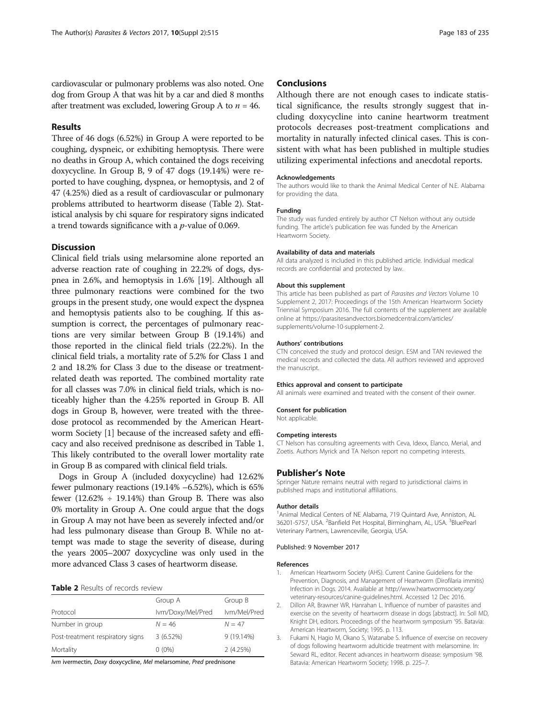# <span id="page-2-0"></span>Results

Three of 46 dogs (6.52%) in Group A were reported to be coughing, dyspneic, or exhibiting hemoptysis. There were no deaths in Group A, which contained the dogs receiving doxycycline. In Group B, 9 of 47 dogs (19.14%) were reported to have coughing, dyspnea, or hemoptysis, and 2 of 47 (4.25%) died as a result of cardiovascular or pulmonary problems attributed to heartworm disease (Table 2). Statistical analysis by chi square for respiratory signs indicated a trend towards significance with a p-value of 0.069.

# **Discussion**

Clinical field trials using melarsomine alone reported an adverse reaction rate of coughing in 22.2% of dogs, dyspnea in 2.6%, and hemoptysis in 1.6% [[19](#page-3-0)]. Although all three pulmonary reactions were combined for the two groups in the present study, one would expect the dyspnea and hemoptysis patients also to be coughing. If this assumption is correct, the percentages of pulmonary reactions are very similar between Group B (19.14%) and those reported in the clinical field trials (22.2%). In the clinical field trials, a mortality rate of 5.2% for Class 1 and 2 and 18.2% for Class 3 due to the disease or treatmentrelated death was reported. The combined mortality rate for all classes was 7.0% in clinical field trials, which is noticeably higher than the 4.25% reported in Group B. All dogs in Group B, however, were treated with the threedose protocol as recommended by the American Heartworm Society [1] because of the increased safety and efficacy and also received prednisone as described in Table [1](#page-1-0). This likely contributed to the overall lower mortality rate in Group B as compared with clinical field trials.

Dogs in Group A (included doxycycline) had 12.62% fewer pulmonary reactions (19.14% –6.52%), which is 65% fewer (12.62%  $\div$  19.14%) than Group B. There was also 0% mortality in Group A. One could argue that the dogs in Group A may not have been as severely infected and/or had less pulmonary disease than Group B. While no attempt was made to stage the severity of disease, during the years 2005–2007 doxycycline was only used in the more advanced Class 3 cases of heartworm disease.

# Table 2 Results of records review

|                                  | Group A           | Group B      |
|----------------------------------|-------------------|--------------|
| Protocol                         | Ivm/Doxy/Mel/Pred | lvm/Mel/Pred |
| Number in group                  | $N = 46$          | $N = 47$     |
| Post-treatment respiratory signs | 3(6.52%)          | $9(19.14\%)$ |
| Mortality                        | $0(0\%)$          | 2(4.25%)     |

Ivm ivermectin, Doxy doxycycline, Mel melarsomine, Pred prednisone

# **Conclusions**

Although there are not enough cases to indicate statistical significance, the results strongly suggest that including doxycycline into canine heartworm treatment protocols decreases post-treatment complications and mortality in naturally infected clinical cases. This is consistent with what has been published in multiple studies utilizing experimental infections and anecdotal reports.

## Acknowledgements

The authors would like to thank the Animal Medical Center of N.E. Alabama for providing the data.

## Funding

The study was funded entirely by author CT Nelson without any outside funding. The article's publication fee was funded by the American Heartworm Society.

#### Availability of data and materials

All data analyzed is included in this published article. Individual medical records are confidential and protected by law.

#### About this supplement

This article has been published as part of Parasites and Vectors Volume 10 Supplement 2, 2017: Proceedings of the 15th American Heartworm Society Triennial Symposium 2016. The full contents of the supplement are available online at [https://parasitesandvectors.biomedcentral.com/articles/](https://parasitesandvectors.biomedcentral.com/articles/supplements/volume-10-supplement-2) [supplements/volume-10-supplement-2.](https://parasitesandvectors.biomedcentral.com/articles/supplements/volume-10-supplement-2)

#### Authors' contributions

CTN conceived the study and protocol design. ESM and TAN reviewed the medical records and collected the data. All authors reviewed and approved the manuscript.

#### Ethics approval and consent to participate

All animals were examined and treated with the consent of their owner.

#### Consent for publication

Not applicable.

#### Competing interests

CT Nelson has consulting agreements with Ceva, Idexx, Elanco, Merial, and Zoetis. Authors Myrick and TA Nelson report no competing interests.

#### Publisher's Note

Springer Nature remains neutral with regard to jurisdictional claims in published maps and institutional affiliations.

#### Author details

<sup>1</sup> Animal Medical Centers of NE Alabama, 719 Quintard Ave, Anniston, AL 36201-5757, USA. <sup>2</sup>Banfield Pet Hospital, Birmingham, AL, USA. <sup>3</sup>BluePearl Veterinary Partners, Lawrenceville, Georgia, USA.

#### Published: 9 November 2017

#### References

- American Heartworm Society (AHS). Current Canine Guideliens for the Prevention, Diagnosis, and Management of Heartworm (Dirofilaria immitis) Infection in Dogs. 2014. Available at [http://www.heartwormsociety.org/](http://www.heartwormsociety.org/veterinary-resources/canine-guidelines.html) [veterinary-resources/canine-guidelines.html](http://www.heartwormsociety.org/veterinary-resources/canine-guidelines.html). Accessed 12 Dec 2016.
- 2. Dillon AR, Brawner WR, Hanrahan L. Influence of number of parasites and exercise on the severity of heartworm disease in dogs [abstract]. In: Soll MD, Knight DH, editors. Proceedings of the heartworm symposium '95. Batavia: American Heartworm, Society; 1995. p. 113.
- 3. Fukami N, Hagio M, Okano S, Watanabe S. Influence of exercise on recovery of dogs following heartworm adulticide treatment with melarsomine. In: Seward RL, editor. Recent advances in heartworm disease: symposium '98. Batavia: American Heartworm Society; 1998. p. 225–7.